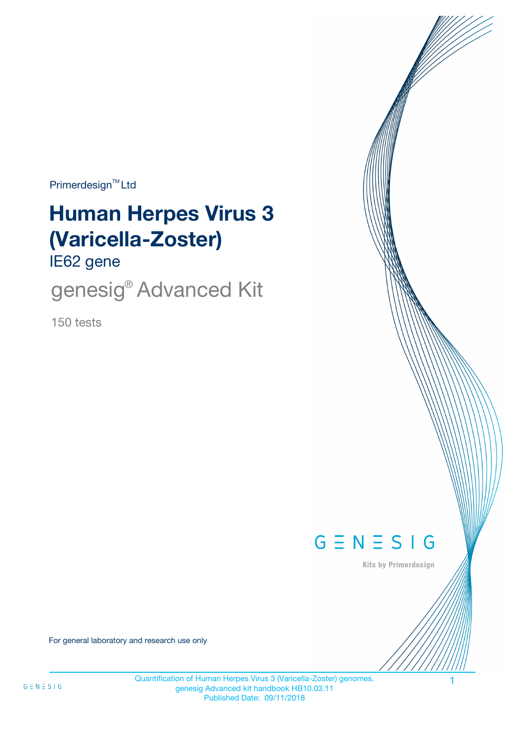$Primerdesign^{\text{TM}}$ Ltd

# **Human Herpes Virus 3 (Varicella-Zoster)**

IE62 gene

genesig<sup>®</sup> Advanced Kit

150 tests



Kits by Primerdesign

For general laboratory and research use only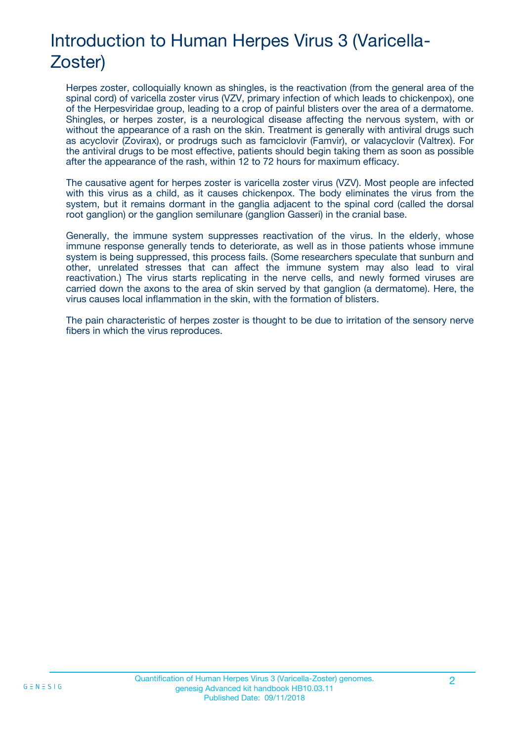# Introduction to Human Herpes Virus 3 (Varicella-Zoster)

Herpes zoster, colloquially known as shingles, is the reactivation (from the general area of the spinal cord) of varicella zoster virus (VZV, primary infection of which leads to chickenpox), one of the Herpesviridae group, leading to a crop of painful blisters over the area of a dermatome. Shingles, or herpes zoster, is a neurological disease affecting the nervous system, with or without the appearance of a rash on the skin. Treatment is generally with antiviral drugs such as acyclovir (Zovirax), or prodrugs such as famciclovir (Famvir), or valacyclovir (Valtrex). For the antiviral drugs to be most effective, patients should begin taking them as soon as possible after the appearance of the rash, within 12 to 72 hours for maximum efficacy.

The causative agent for herpes zoster is varicella zoster virus (VZV). Most people are infected with this virus as a child, as it causes chickenpox. The body eliminates the virus from the system, but it remains dormant in the ganglia adjacent to the spinal cord (called the dorsal root ganglion) or the ganglion semilunare (ganglion Gasseri) in the cranial base.

Generally, the immune system suppresses reactivation of the virus. In the elderly, whose immune response generally tends to deteriorate, as well as in those patients whose immune system is being suppressed, this process fails. (Some researchers speculate that sunburn and other, unrelated stresses that can affect the immune system may also lead to viral reactivation.) The virus starts replicating in the nerve cells, and newly formed viruses are carried down the axons to the area of skin served by that ganglion (a dermatome). Here, the virus causes local inflammation in the skin, with the formation of blisters.

The pain characteristic of herpes zoster is thought to be due to irritation of the sensory nerve fibers in which the virus reproduces.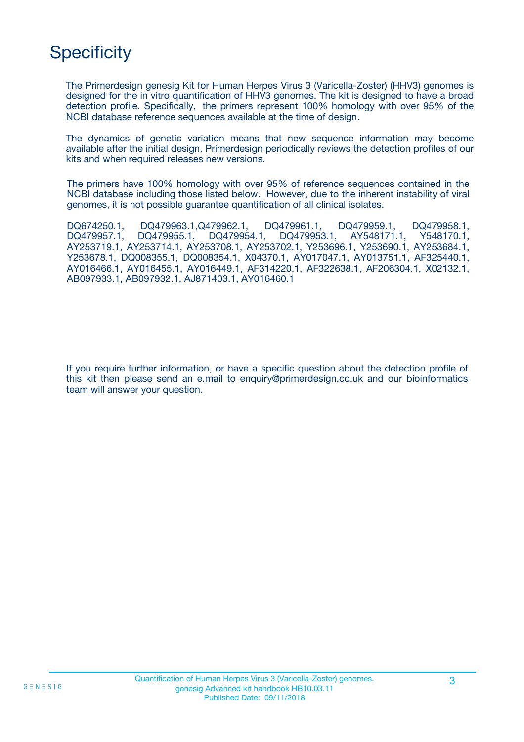# **Specificity**

The Primerdesign genesig Kit for Human Herpes Virus 3 (Varicella-Zoster) (HHV3) genomes is designed for the in vitro quantification of HHV3 genomes. The kit is designed to have a broad detection profile. Specifically, the primers represent 100% homology with over 95% of the NCBI database reference sequences available at the time of design.

The dynamics of genetic variation means that new sequence information may become available after the initial design. Primerdesign periodically reviews the detection profiles of our kits and when required releases new versions.

The primers have 100% homology with over 95% of reference sequences contained in the NCBI database including those listed below. However, due to the inherent instability of viral genomes, it is not possible guarantee quantification of all clinical isolates.

DQ674250.1, DQ479963.1,Q479962.1, DQ479961.1, DQ479959.1, DQ479958.1, DQ479957.1, DQ479955.1, DQ479954.1, DQ479953.1, AY548171.1, Y548170.1, AY253719.1, AY253714.1, AY253708.1, AY253702.1, Y253696.1, Y253690.1, AY253684.1, Y253678.1, DQ008355.1, DQ008354.1, X04370.1, AY017047.1, AY013751.1, AF325440.1, AY016466.1, AY016455.1, AY016449.1, AF314220.1, AF322638.1, AF206304.1, X02132.1, AB097933.1, AB097932.1, AJ871403.1, AY016460.1

If you require further information, or have a specific question about the detection profile of this kit then please send an e.mail to enquiry@primerdesign.co.uk and our bioinformatics team will answer your question.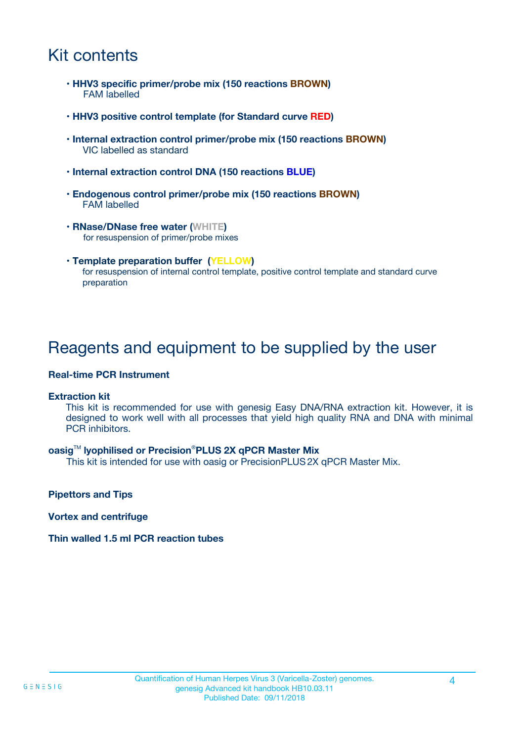### Kit contents

- **HHV3 specific primer/probe mix (150 reactions BROWN)** FAM labelled
- **HHV3 positive control template (for Standard curve RED)**
- **Internal extraction control primer/probe mix (150 reactions BROWN)** VIC labelled as standard
- **Internal extraction control DNA (150 reactions BLUE)**
- **Endogenous control primer/probe mix (150 reactions BROWN)** FAM labelled
- **RNase/DNase free water (WHITE)** for resuspension of primer/probe mixes
- **Template preparation buffer (YELLOW)** for resuspension of internal control template, positive control template and standard curve preparation

### Reagents and equipment to be supplied by the user

#### **Real-time PCR Instrument**

#### **Extraction kit**

This kit is recommended for use with genesig Easy DNA/RNA extraction kit. However, it is designed to work well with all processes that yield high quality RNA and DNA with minimal PCR inhibitors.

#### **oasig**TM **lyophilised or Precision**®**PLUS 2X qPCR Master Mix**

This kit is intended for use with oasig or PrecisionPLUS2X qPCR Master Mix.

**Pipettors and Tips**

**Vortex and centrifuge**

#### **Thin walled 1.5 ml PCR reaction tubes**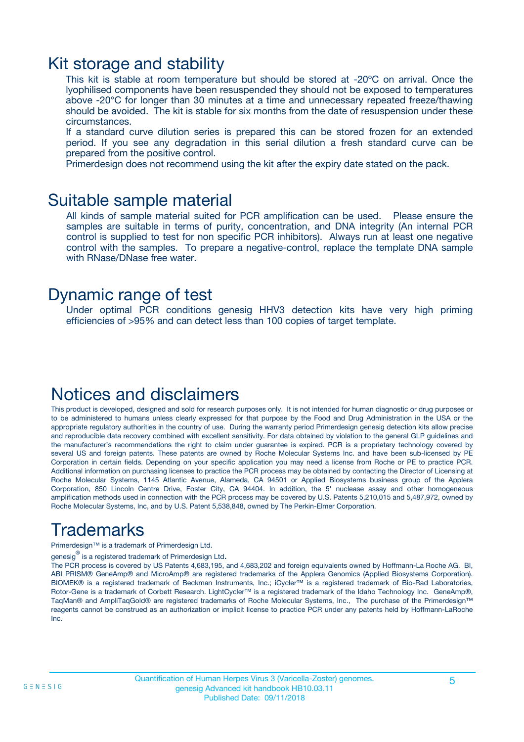### Kit storage and stability

This kit is stable at room temperature but should be stored at -20ºC on arrival. Once the lyophilised components have been resuspended they should not be exposed to temperatures above -20°C for longer than 30 minutes at a time and unnecessary repeated freeze/thawing should be avoided. The kit is stable for six months from the date of resuspension under these circumstances.

If a standard curve dilution series is prepared this can be stored frozen for an extended period. If you see any degradation in this serial dilution a fresh standard curve can be prepared from the positive control.

Primerdesign does not recommend using the kit after the expiry date stated on the pack.

### Suitable sample material

All kinds of sample material suited for PCR amplification can be used. Please ensure the samples are suitable in terms of purity, concentration, and DNA integrity (An internal PCR control is supplied to test for non specific PCR inhibitors). Always run at least one negative control with the samples. To prepare a negative-control, replace the template DNA sample with RNase/DNase free water.

### Dynamic range of test

Under optimal PCR conditions genesig HHV3 detection kits have very high priming efficiencies of >95% and can detect less than 100 copies of target template.

### Notices and disclaimers

This product is developed, designed and sold for research purposes only. It is not intended for human diagnostic or drug purposes or to be administered to humans unless clearly expressed for that purpose by the Food and Drug Administration in the USA or the appropriate regulatory authorities in the country of use. During the warranty period Primerdesign genesig detection kits allow precise and reproducible data recovery combined with excellent sensitivity. For data obtained by violation to the general GLP guidelines and the manufacturer's recommendations the right to claim under guarantee is expired. PCR is a proprietary technology covered by several US and foreign patents. These patents are owned by Roche Molecular Systems Inc. and have been sub-licensed by PE Corporation in certain fields. Depending on your specific application you may need a license from Roche or PE to practice PCR. Additional information on purchasing licenses to practice the PCR process may be obtained by contacting the Director of Licensing at Roche Molecular Systems, 1145 Atlantic Avenue, Alameda, CA 94501 or Applied Biosystems business group of the Applera Corporation, 850 Lincoln Centre Drive, Foster City, CA 94404. In addition, the 5' nuclease assay and other homogeneous amplification methods used in connection with the PCR process may be covered by U.S. Patents 5,210,015 and 5,487,972, owned by Roche Molecular Systems, Inc, and by U.S. Patent 5,538,848, owned by The Perkin-Elmer Corporation.

# Trademarks

Primerdesign™ is a trademark of Primerdesign Ltd.

genesig $^\circledR$  is a registered trademark of Primerdesign Ltd.

The PCR process is covered by US Patents 4,683,195, and 4,683,202 and foreign equivalents owned by Hoffmann-La Roche AG. BI, ABI PRISM® GeneAmp® and MicroAmp® are registered trademarks of the Applera Genomics (Applied Biosystems Corporation). BIOMEK® is a registered trademark of Beckman Instruments, Inc.; iCycler™ is a registered trademark of Bio-Rad Laboratories, Rotor-Gene is a trademark of Corbett Research. LightCycler™ is a registered trademark of the Idaho Technology Inc. GeneAmp®, TaqMan® and AmpliTaqGold® are registered trademarks of Roche Molecular Systems, Inc., The purchase of the Primerdesign™ reagents cannot be construed as an authorization or implicit license to practice PCR under any patents held by Hoffmann-LaRoche Inc.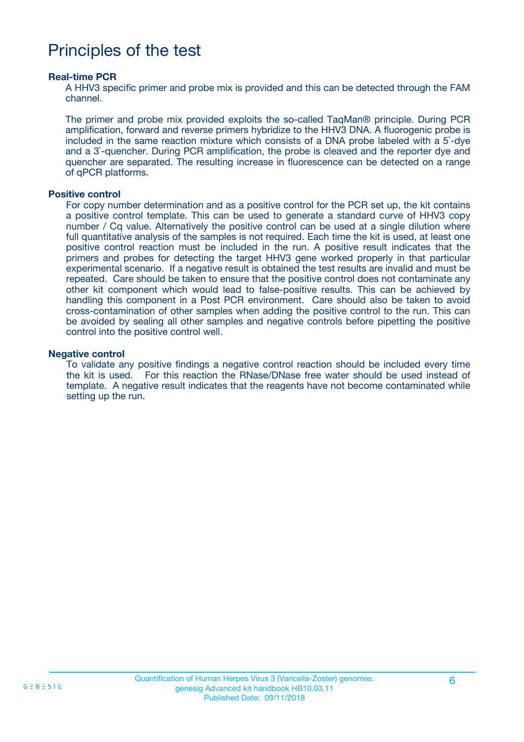### Principles of the test

#### **Real-time PCR**

A HHV3 specific primer and probe mix is provided and this can be detected through the FAM channel.

The primer and probe mix provided exploits the so-called TaqMan® principle. During PCR amplification, forward and reverse primers hybridize to the HHV3 DNA. A fluorogenic probe is included in the same reaction mixture which consists of a DNA probe labeled with a 5`-dye and a 3`-quencher. During PCR amplification, the probe is cleaved and the reporter dye and quencher are separated. The resulting increase in fluorescence can be detected on a range of qPCR platforms.

#### **Positive control**

For copy number determination and as a positive control for the PCR set up, the kit contains a positive control template. This can be used to generate a standard curve of HHV3 copy number / Cq value. Alternatively the positive control can be used at a single dilution where full quantitative analysis of the samples is not required. Each time the kit is used, at least one positive control reaction must be included in the run. A positive result indicates that the primers and probes for detecting the target HHV3 gene worked properly in that particular experimental scenario. If a negative result is obtained the test results are invalid and must be repeated. Care should be taken to ensure that the positive control does not contaminate any other kit component which would lead to false-positive results. This can be achieved by handling this component in a Post PCR environment. Care should also be taken to avoid cross-contamination of other samples when adding the positive control to the run. This can be avoided by sealing all other samples and negative controls before pipetting the positive control into the positive control well.

#### **Negative control**

To validate any positive findings a negative control reaction should be included every time the kit is used. For this reaction the RNase/DNase free water should be used instead of template. A negative result indicates that the reagents have not become contaminated while setting up the run.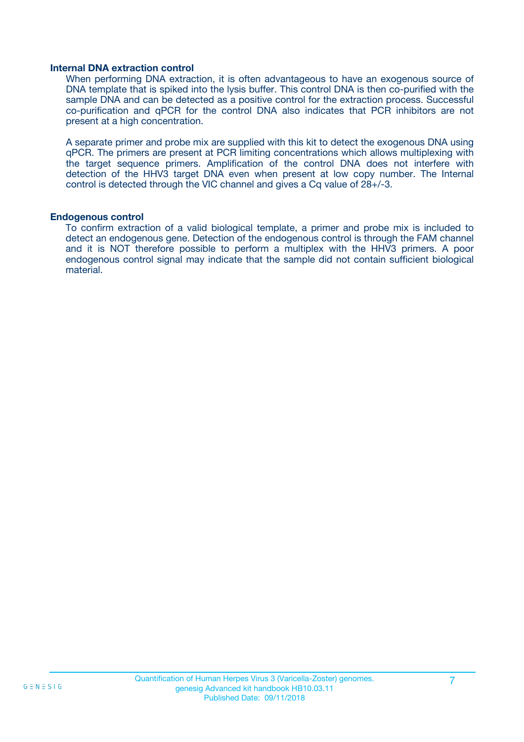#### **Internal DNA extraction control**

When performing DNA extraction, it is often advantageous to have an exogenous source of DNA template that is spiked into the lysis buffer. This control DNA is then co-purified with the sample DNA and can be detected as a positive control for the extraction process. Successful co-purification and qPCR for the control DNA also indicates that PCR inhibitors are not present at a high concentration.

A separate primer and probe mix are supplied with this kit to detect the exogenous DNA using qPCR. The primers are present at PCR limiting concentrations which allows multiplexing with the target sequence primers. Amplification of the control DNA does not interfere with detection of the HHV3 target DNA even when present at low copy number. The Internal control is detected through the VIC channel and gives a Cq value of 28+/-3.

#### **Endogenous control**

To confirm extraction of a valid biological template, a primer and probe mix is included to detect an endogenous gene. Detection of the endogenous control is through the FAM channel and it is NOT therefore possible to perform a multiplex with the HHV3 primers. A poor endogenous control signal may indicate that the sample did not contain sufficient biological material.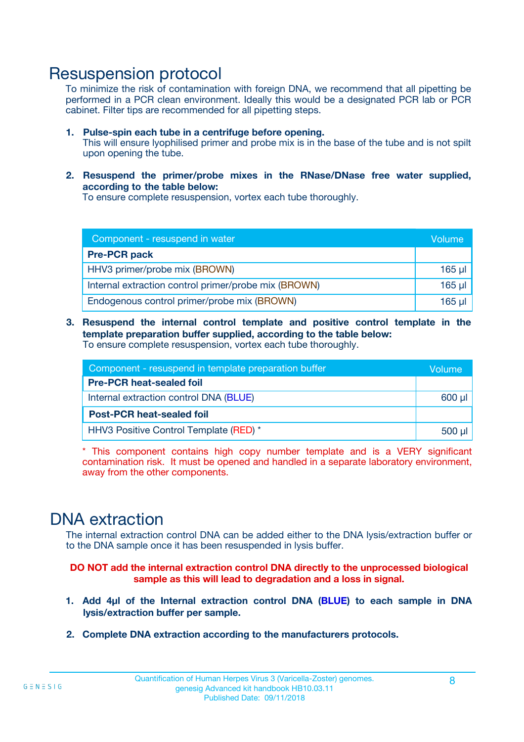### Resuspension protocol

To minimize the risk of contamination with foreign DNA, we recommend that all pipetting be performed in a PCR clean environment. Ideally this would be a designated PCR lab or PCR cabinet. Filter tips are recommended for all pipetting steps.

- **1. Pulse-spin each tube in a centrifuge before opening.** This will ensure lyophilised primer and probe mix is in the base of the tube and is not spilt upon opening the tube.
- **2. Resuspend the primer/probe mixes in the RNase/DNase free water supplied, according to the table below:**

To ensure complete resuspension, vortex each tube thoroughly.

| Component - resuspend in water                       |          |  |
|------------------------------------------------------|----------|--|
| <b>Pre-PCR pack</b>                                  |          |  |
| HHV3 primer/probe mix (BROWN)                        | $165$ µ  |  |
| Internal extraction control primer/probe mix (BROWN) | $165$ µl |  |
| Endogenous control primer/probe mix (BROWN)          | 165 µl   |  |

**3. Resuspend the internal control template and positive control template in the template preparation buffer supplied, according to the table below:** To ensure complete resuspension, vortex each tube thoroughly.

| Component - resuspend in template preparation buffer |  |  |  |
|------------------------------------------------------|--|--|--|
| <b>Pre-PCR heat-sealed foil</b>                      |  |  |  |
| Internal extraction control DNA (BLUE)               |  |  |  |
| <b>Post-PCR heat-sealed foil</b>                     |  |  |  |
| HHV3 Positive Control Template (RED) *               |  |  |  |

\* This component contains high copy number template and is a VERY significant contamination risk. It must be opened and handled in a separate laboratory environment, away from the other components.

### DNA extraction

The internal extraction control DNA can be added either to the DNA lysis/extraction buffer or to the DNA sample once it has been resuspended in lysis buffer.

**DO NOT add the internal extraction control DNA directly to the unprocessed biological sample as this will lead to degradation and a loss in signal.**

- **1. Add 4µl of the Internal extraction control DNA (BLUE) to each sample in DNA lysis/extraction buffer per sample.**
- **2. Complete DNA extraction according to the manufacturers protocols.**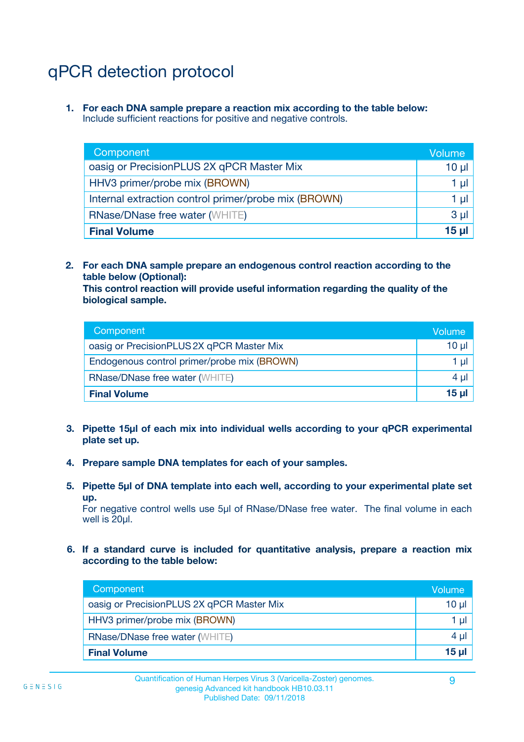# qPCR detection protocol

**1. For each DNA sample prepare a reaction mix according to the table below:** Include sufficient reactions for positive and negative controls.

| Component                                            | Volume   |
|------------------------------------------------------|----------|
| oasig or PrecisionPLUS 2X qPCR Master Mix            | $10 \mu$ |
| HHV3 primer/probe mix (BROWN)                        | 1 µI     |
| Internal extraction control primer/probe mix (BROWN) | 1 µl     |
| <b>RNase/DNase free water (WHITE)</b>                | $3 \mu$  |
| <b>Final Volume</b>                                  | 15 µl    |

**2. For each DNA sample prepare an endogenous control reaction according to the table below (Optional):**

**This control reaction will provide useful information regarding the quality of the biological sample.**

| Component                                   | Volume   |
|---------------------------------------------|----------|
| oasig or PrecisionPLUS 2X qPCR Master Mix   | $10 \mu$ |
| Endogenous control primer/probe mix (BROWN) | 1 µI     |
| <b>RNase/DNase free water (WHITE)</b>       | $4 \mu$  |
| <b>Final Volume</b>                         | 15 µl    |

- **3. Pipette 15µl of each mix into individual wells according to your qPCR experimental plate set up.**
- **4. Prepare sample DNA templates for each of your samples.**
- **5. Pipette 5µl of DNA template into each well, according to your experimental plate set up.**

For negative control wells use 5µl of RNase/DNase free water. The final volume in each well is 20ul.

**6. If a standard curve is included for quantitative analysis, prepare a reaction mix according to the table below:**

| Component                                 | Volume       |
|-------------------------------------------|--------------|
| oasig or PrecisionPLUS 2X qPCR Master Mix | $10 \mu$     |
| HHV3 primer/probe mix (BROWN)             |              |
| <b>RNase/DNase free water (WHITE)</b>     | 4 µl         |
| <b>Final Volume</b>                       | <u>15 µl</u> |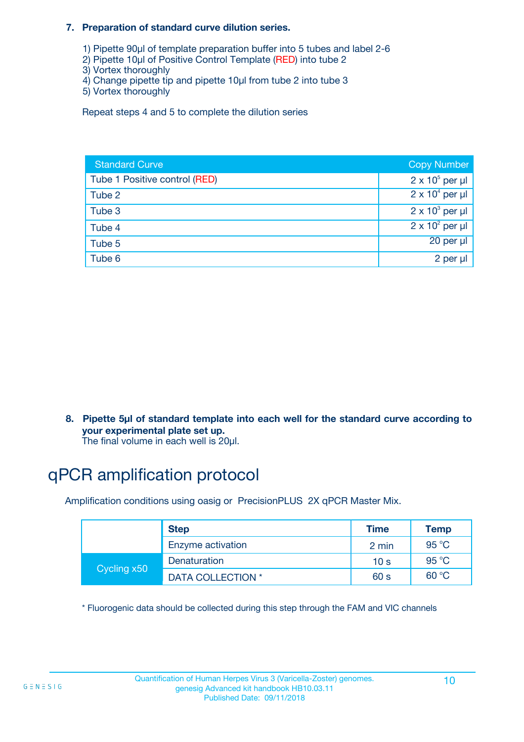#### **7. Preparation of standard curve dilution series.**

- 1) Pipette 90µl of template preparation buffer into 5 tubes and label 2-6
- 2) Pipette 10µl of Positive Control Template (RED) into tube 2
- 3) Vortex thoroughly
- 4) Change pipette tip and pipette 10µl from tube 2 into tube 3
- 5) Vortex thoroughly

Repeat steps 4 and 5 to complete the dilution series

| <b>Standard Curve</b>         | <b>Copy Number</b>     |
|-------------------------------|------------------------|
| Tube 1 Positive control (RED) | $2 \times 10^5$ per µl |
| Tube 2                        | $2 \times 10^4$ per µl |
| Tube 3                        | $2 \times 10^3$ per µl |
| Tube 4                        | $2 \times 10^2$ per µl |
| Tube 5                        | 20 per µl              |
| Tube 6                        | 2 per µl               |

**8. Pipette 5µl of standard template into each well for the standard curve according to your experimental plate set up.**

#### The final volume in each well is 20µl.

# qPCR amplification protocol

Amplification conditions using oasig or PrecisionPLUS 2X qPCR Master Mix.

|             | <b>Step</b>       | <b>Time</b>     | Temp    |
|-------------|-------------------|-----------------|---------|
|             | Enzyme activation | 2 min           | 95 °C   |
| Cycling x50 | Denaturation      | 10 <sub>s</sub> | 95 $°C$ |
|             | DATA COLLECTION * | 60 s            | 60 °C   |

\* Fluorogenic data should be collected during this step through the FAM and VIC channels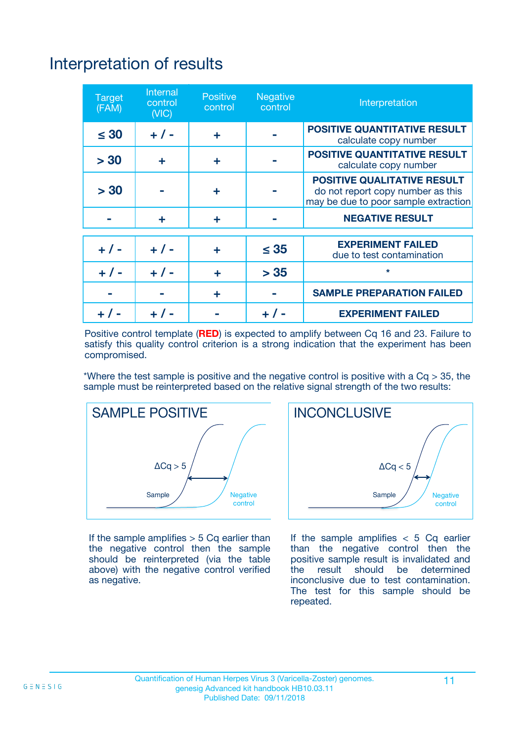# Interpretation of results

| <b>Target</b><br>(FAM) | <b>Internal</b><br>control<br>(NIC) | <b>Positive</b><br>control | <b>Negative</b><br>control | Interpretation                                                                                                  |
|------------------------|-------------------------------------|----------------------------|----------------------------|-----------------------------------------------------------------------------------------------------------------|
| $\leq 30$              | $+ 1 -$                             | ÷                          |                            | <b>POSITIVE QUANTITATIVE RESULT</b><br>calculate copy number                                                    |
| > 30                   | ٠                                   | ÷                          |                            | <b>POSITIVE QUANTITATIVE RESULT</b><br>calculate copy number                                                    |
| > 30                   |                                     | ÷                          |                            | <b>POSITIVE QUALITATIVE RESULT</b><br>do not report copy number as this<br>may be due to poor sample extraction |
|                        | ÷                                   | ÷                          |                            | <b>NEGATIVE RESULT</b>                                                                                          |
| $+ 1 -$                | $+ 1 -$                             | ÷                          | $\leq$ 35                  | <b>EXPERIMENT FAILED</b><br>due to test contamination                                                           |
| $+$ / -                | $+ 1 -$                             | ÷                          | > 35                       | $\star$                                                                                                         |
|                        |                                     | ÷                          |                            | <b>SAMPLE PREPARATION FAILED</b>                                                                                |
|                        |                                     |                            | $+$ /                      | <b>EXPERIMENT FAILED</b>                                                                                        |

Positive control template (**RED**) is expected to amplify between Cq 16 and 23. Failure to satisfy this quality control criterion is a strong indication that the experiment has been compromised.

\*Where the test sample is positive and the negative control is positive with a  $Ca > 35$ , the sample must be reinterpreted based on the relative signal strength of the two results:



If the sample amplifies  $> 5$  Cq earlier than the negative control then the sample should be reinterpreted (via the table above) with the negative control verified as negative.



If the sample amplifies  $< 5$  Cq earlier than the negative control then the positive sample result is invalidated and<br>the result should be determined  $the$  result should be inconclusive due to test contamination. The test for this sample should be repeated.